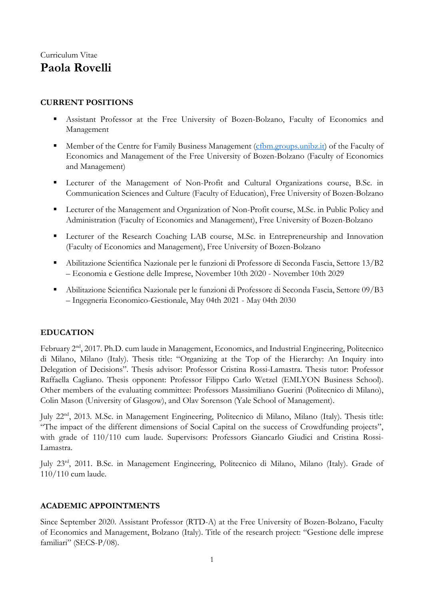# Curriculum Vitae **Paola Rovelli**

### **CURRENT POSITIONS**

- Assistant Professor at the Free University of Bozen-Bolzano, Faculty of Economics and Management
- **EXECUTE:** Member of the Centre for Family Business Management [\(cfbm.groups.unibz.it\)](https://cfbm.groups.unibz.it/) of the Faculty of Economics and Management of the Free University of Bozen-Bolzano (Faculty of Economics and Management)
- Lecturer of the Management of Non-Profit and Cultural Organizations course, B.Sc. in Communication Sciences and Culture (Faculty of Education), Free University of Bozen-Bolzano
- **Executer of the Management and Organization of Non-Profit course, M.Sc. in Public Policy and** Administration (Faculty of Economics and Management), Free University of Bozen-Bolzano
- **EXECUTE:** Lecturer of the Research Coaching LAB course, M.Sc. in Entrepreneurship and Innovation (Faculty of Economics and Management), Free University of Bozen-Bolzano
- Abilitazione Scientifica Nazionale per le funzioni di Professore di Seconda Fascia, Settore 13/B2 – Economia e Gestione delle Imprese, November 10th 2020 - November 10th 2029
- Abilitazione Scientifica Nazionale per le funzioni di Professore di Seconda Fascia, Settore 09/B3 – Ingegneria Economico-Gestionale, May 04th 2021 - May 04th 2030

### **EDUCATION**

February 2<sup>nd</sup>, 2017. Ph.D. cum laude in Management, Economics, and Industrial Engineering, Politecnico di Milano, Milano (Italy). Thesis title: "Organizing at the Top of the Hierarchy: An Inquiry into Delegation of Decisions". Thesis advisor: Professor Cristina Rossi-Lamastra. Thesis tutor: Professor Raffaella Cagliano. Thesis opponent: Professor Filippo Carlo Wetzel (EMLYON Business School). Other members of the evaluating committee: Professors Massimiliano Guerini (Politecnico di Milano), Colin Mason (University of Glasgow), and Olav Sorenson (Yale School of Management).

July 22<sup>nd</sup>, 2013. M.Sc. in Management Engineering, Politecnico di Milano, Milano (Italy). Thesis title: "The impact of the different dimensions of Social Capital on the success of Crowdfunding projects", with grade of 110/110 cum laude. Supervisors: Professors Giancarlo Giudici and Cristina Rossi-Lamastra.

July 23rd , 2011. B.Sc. in Management Engineering, Politecnico di Milano, Milano (Italy). Grade of 110/110 cum laude.

#### **ACADEMIC APPOINTMENTS**

Since September 2020. Assistant Professor (RTD-A) at the Free University of Bozen-Bolzano, Faculty of Economics and Management, Bolzano (Italy). Title of the research project: "Gestione delle imprese familiari" (SECS-P/08).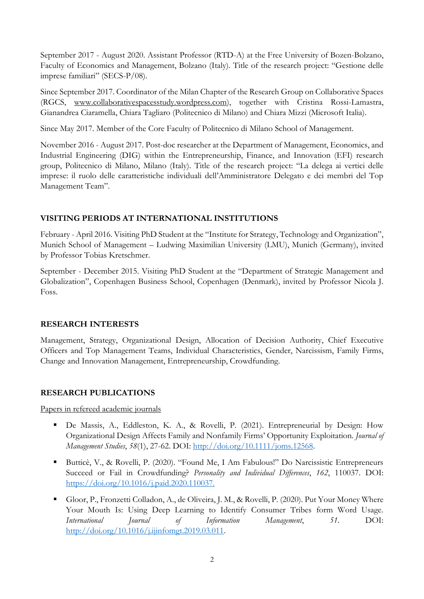September 2017 - August 2020. Assistant Professor (RTD-A) at the Free University of Bozen-Bolzano, Faculty of Economics and Management, Bolzano (Italy). Title of the research project: "Gestione delle imprese familiari" (SECS-P/08).

Since September 2017. Coordinator of the Milan Chapter of the Research Group on Collaborative Spaces (RGCS, [www.collaborativespacesstudy.wordpress.com\)](http://www.collaborativespacesstudy.wordpress.com/), together with Cristina Rossi-Lamastra, Gianandrea Ciaramella, Chiara Tagliaro (Politecnico di Milano) and Chiara Mizzi (Microsoft Italia).

Since May 2017. Member of the Core Faculty of Politecnico di Milano School of Management.

November 2016 - August 2017. Post-doc researcher at the Department of Management, Economics, and Industrial Engineering (DIG) within the Entrepreneurship, Finance, and Innovation (EFI) research group, Politecnico di Milano, Milano (Italy). Title of the research project: "La delega ai vertici delle imprese: il ruolo delle caratteristiche individuali dell'Amministratore Delegato e dei membri del Top Management Team".

### **VISITING PERIODS AT INTERNATIONAL INSTITUTIONS**

February - April 2016. Visiting PhD Student at the "Institute for Strategy, Technology and Organization", Munich School of Management – Ludwing Maximilian University (LMU), Munich (Germany), invited by Professor Tobias Kretschmer.

September - December 2015. Visiting PhD Student at the "Department of Strategic Management and Globalization", Copenhagen Business School, Copenhagen (Denmark), invited by Professor Nicola J. Foss.

### **RESEARCH INTERESTS**

Management, Strategy, Organizational Design, Allocation of Decision Authority, Chief Executive Officers and Top Management Teams, Individual Characteristics, Gender, Narcissism, Family Firms, Change and Innovation Management, Entrepreneurship, Crowdfunding.

## **RESEARCH PUBLICATIONS**

Papers in refereed academic journals

- De Massis, A., Eddleston, K. A., & Rovelli, P. (2021). Entrepreneurial by Design: How Organizational Design Affects Family and Nonfamily Firms' Opportunity Exploitation. *Journal of Management Studies*, *58*(1), 27-62. DOI: [http://doi.org/10.1111/joms.12568.](http://doi.org/10.1111/joms.12568)
- Butticè, V., & Rovelli, P. (2020). "Found Me, I Am Fabulous!" Do Narcissistic Entrepreneurs Succeed or Fail in Crowdfunding? *Personality and Individual Differences*, *162*, 110037. DOI: [https://doi.org/10.1016/j.paid.2020.110037.](https://doi.org/10.1016/j.paid.2020.110037)
- Gloor, P., Fronzetti Colladon, A., de Oliveira, J. M., & Rovelli, P. (2020). Put Your Money Where Your Mouth Is: Using Deep Learning to Identify Consumer Tribes form Word Usage. *International Journal of Information Management*, *51*. DOI: [http://doi.org/10.1016/j.ijinfomgt.2019.03.011.](http://doi.org/10.1016/j.ijinfomgt.2019.03.011)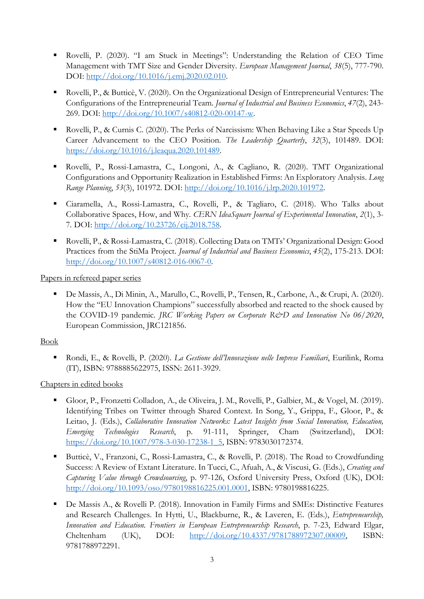- Rovelli, P. (2020). "I am Stuck in Meetings": Understanding the Relation of CEO Time Management with TMT Size and Gender Diversity. *European Management Journal*, *38*(5), 777-790. DOI: [http://doi.org/10.1016/j.emj.2020.02.010.](http://doi.org/10.1016/j.emj.2020.02.010)
- Rovelli, P., & Butticè, V. (2020). On the Organizational Design of Entrepreneurial Ventures: The Configurations of the Entrepreneurial Team. *Journal of Industrial and Business Economics*, *47*(2), 243- 269. DOI: [http://doi.org/10.1007/s40812-020-00147-w.](http://doi.org/10.1007/s40812-020-00147-w)
- Rovelli, P., & Curnis C. (2020). The Perks of Narcissism: When Behaving Like a Star Speeds Up Career Advancement to the CEO Position. *The Leadership Quarterly*, *32*(3), 101489. DOI: [https://doi.org/10.1016/j.leaqua.2020.101489.](https://doi.org/10.1016/j.leaqua.2020.101489)
- Rovelli, P., Rossi-Lamastra, C., Longoni, A., & Cagliano, R. (2020). TMT Organizational Configurations and Opportunity Realization in Established Firms: An Exploratory Analysis. *Long Range Planning*, *53*(3), 101972. DOI: [http://doi.org/10.1016/j.lrp.2020.101972.](http://doi.org/10.1016/j.lrp.2020.101972)
- Ciaramella, A., Rossi-Lamastra, C., Rovelli, P., & Tagliaro, C. (2018). Who Talks about Collaborative Spaces, How, and Why. *CERN IdeaSquare Journal of Experimental Innovation*, *2*(1), 3- 7*.* DOI: [http://doi.org/10.23726/cij.2018.758.](http://doi.org/10.23726/cij.2018.758)
- Rovelli, P., & Rossi-Lamastra, C. (2018). Collecting Data on TMTs' Organizational Design: Good Practices from the StiMa Project. *Journal of Industrial and Business Economics*, *45*(2), 175-213. DOI: [http://doi.org/10.1007/s40812-016-0067-0.](http://doi.org/10.1007/s40812-016-0067-0)

Papers in refereed paper series

De Massis, A., Di Minin, A., Marullo, C., Rovelli, P., Tensen, R., Carbone, A., & Crupi, A. (2020). How the "EU Innovation Champions" successfully absorbed and reacted to the shock caused by the COVID-19 pandemic. *JRC Working Papers on Corporate R&D and Innovation No 06/2020*, European Commission, JRC121856.

## Book

▪ Rondi, E., & Rovelli, P. (2020). *La Gestione dell'Innovazione nelle Imprese Familiari*, Eurilink, Roma (IT), ISBN: 9788885622975, ISSN: 2611-3929.

Chapters in edited books

- Gloor, P., Fronzetti Colladon, A., de Oliveira, J. M., Rovelli, P., Galbier, M., & Vogel, M. (2019). Identifying Tribes on Twitter through Shared Context. In Song, Y., Grippa, F., Gloor, P., & Leitao, J. (Eds.), *Collaborative Innovation Networks: Latest Insights from Social Innovation, Education*, *Emerging Technologies Research*, p. 91-111, Springer, Cham (Switzerland), DOI: [https://doi.org/10.1007/978-3-030-17238-1\\_5,](https://doi.org/10.1007/978-3-030-17238-1_5) ISBN: 9783030172374.
- Butticè, V., Franzoni, C., Rossi-Lamastra, C., & Rovelli, P. (2018). The Road to Crowdfunding Success: A Review of Extant Literature. In Tucci, C., Afuah, A., & Viscusi, G. (Eds.), *Creating and Capturing Value through Crowdsourcing*, p. 97-126, Oxford University Press, Oxford (UK), DOI: [http://doi.org/10.1093/oso/9780198816225.001.0001,](http://doi.org/10.1093/oso/9780198816225.001.0001) ISBN: 9780198816225.
- De Massis A., & Rovelli P. (2018). Innovation in Family Firms and SMEs: Distinctive Features and Research Challenges. In Hytti, U., Blackburne, R., & Laveren, E. (Eds.), *Entrepreneurship, Innovation and Education. Frontiers in European Entrepreneurship Research*, p. 7-23, Edward Elgar, Cheltenham (UK), DOI: [http://doi.org/10.4337/9781788972307.00009,](http://doi.org/10.4337/9781788972307.00009) ISBN: 9781788972291.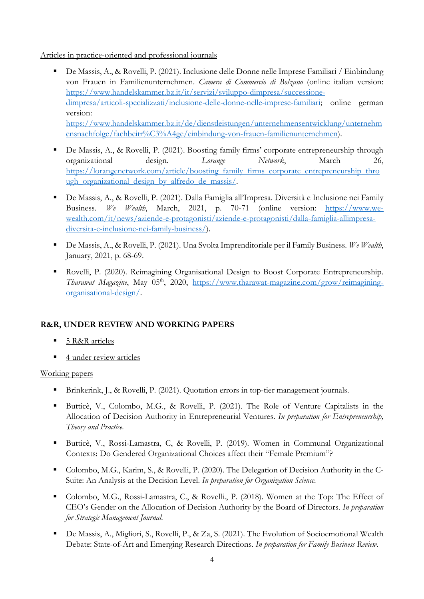Articles in practice-oriented and professional journals

- De Massis, A., & Rovelli, P. (2021). Inclusione delle Donne nelle Imprese Familiari / Einbindung von Frauen in Familienunternehmen. *Camera di Commercio di Bolzano* (online italian version: [https://www.handelskammer.bz.it/it/servizi/sviluppo-dimpresa/successione](https://www.handelskammer.bz.it/it/servizi/sviluppo-dimpresa/successione-dimpresa/articoli-specializzati/inclusione-delle-donne-nelle-imprese-familiari)[dimpresa/articoli-specializzati/inclusione-delle-donne-nelle-imprese-familiari;](https://www.handelskammer.bz.it/it/servizi/sviluppo-dimpresa/successione-dimpresa/articoli-specializzati/inclusione-delle-donne-nelle-imprese-familiari) online german version: [https://www.handelskammer.bz.it/de/dienstleistungen/unternehmensentwicklung/unternehm](https://www.handelskammer.bz.it/de/dienstleistungen/unternehmensentwicklung/unternehmensnachfolge/fachbeitr%C3%A4ge/einbindung-von-frauen-familienunternehmen) [ensnachfolge/fachbeitr%C3%A4ge/einbindung-von-frauen-familienunternehmen\)](https://www.handelskammer.bz.it/de/dienstleistungen/unternehmensentwicklung/unternehmensnachfolge/fachbeitr%C3%A4ge/einbindung-von-frauen-familienunternehmen).
- De Massis, A., & Rovelli, P. (2021). Boosting family firms' corporate entrepreneurship through organizational design. *Lorange Network*, March 26, [https://lorangenetwork.com/article/boosting\\_family\\_firms\\_corporate\\_entrepreneurship\\_thro](https://lorangenetwork.com/article/boosting_family_firms_corporate_entrepreneurship_through_organizational_design_by_alfredo_de_massis/) ugh organizational design by alfredo de massis/.
- De Massis, A., & Rovelli, P. (2021). Dalla Famiglia all'Impresa. Diversità e Inclusione nei Family Business. *We Wealth*, March, 2021, p. 70-71 (online version: [https://www.we](https://www.we-wealth.com/it/news/aziende-e-protagonisti/aziende-e-protagonisti/dalla-famiglia-allimpresa-diversita-e-inclusione-nei-family-business/)[wealth.com/it/news/aziende-e-protagonisti/aziende-e-protagonisti/dalla-famiglia-allimpresa](https://www.we-wealth.com/it/news/aziende-e-protagonisti/aziende-e-protagonisti/dalla-famiglia-allimpresa-diversita-e-inclusione-nei-family-business/)[diversita-e-inclusione-nei-family-business/\)](https://www.we-wealth.com/it/news/aziende-e-protagonisti/aziende-e-protagonisti/dalla-famiglia-allimpresa-diversita-e-inclusione-nei-family-business/).
- De Massis, A., & Rovelli, P. (2021). Una Svolta Imprenditoriale per il Family Business. *We Wealth*, January, 2021, p. 68-69.
- Rovelli, P. (2020). Reimagining Organisational Design to Boost Corporate Entrepreneurship. Tharawat Magazine, May 05<sup>th</sup>, 2020, [https://www.tharawat-magazine.com/grow/reimagining](https://www.tharawat-magazine.com/grow/reimagining-organisational-design/)[organisational-design/](https://www.tharawat-magazine.com/grow/reimagining-organisational-design/).

## **R&R, UNDER REVIEW AND WORKING PAPERS**

- 5 R&R articles
- 4 under review articles

### Working papers

- Brinkerink, J., & Rovelli, P. (2021). Quotation errors in top-tier management journals.
- Butticè, V., Colombo, M.G., & Rovelli, P. (2021). The Role of Venture Capitalists in the Allocation of Decision Authority in Entrepreneurial Ventures. *In preparation for Entrepreneurship, Theory and Practice.*
- Butticè, V., Rossi-Lamastra, C, & Rovelli, P. (2019). Women in Communal Organizational Contexts: Do Gendered Organizational Choices affect their "Female Premium"?
- Colombo, M.G., Karim, S., & Rovelli, P. (2020). The Delegation of Decision Authority in the C-Suite: An Analysis at the Decision Level. *In preparation for Organization Science.*
- Colombo, M.G., Rossi-Lamastra, C., & Rovelli., P. (2018). Women at the Top: The Effect of CEO's Gender on the Allocation of Decision Authority by the Board of Directors. *In preparation for Strategic Management Journal.*
- De Massis, A., Migliori, S., Rovelli, P., & Za, S. (2021). The Evolution of Socioemotional Wealth Debate: State-of-Art and Emerging Research Directions. *In preparation for Family Business Review*.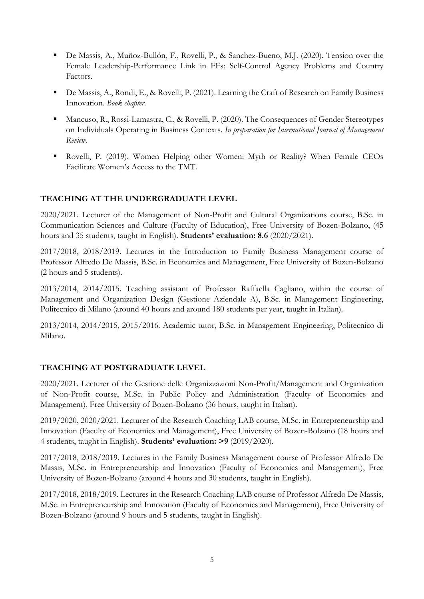- De Massis, A., Muñoz-Bullón, F., Rovelli, P., & Sanchez-Bueno, M.J. (2020). Tension over the Female Leadership-Performance Link in FFs: Self-Control Agency Problems and Country Factors.
- De Massis, A., Rondi, E., & Rovelli, P. (2021). Learning the Craft of Research on Family Business Innovation. *Book chapter*.
- Mancuso, R., Rossi-Lamastra, C., & Rovelli, P. (2020). The Consequences of Gender Stereotypes on Individuals Operating in Business Contexts. *In preparation for International Journal of Management Review.*
- Rovelli, P. (2019). Women Helping other Women: Myth or Reality? When Female CEOs Facilitate Women's Access to the TMT.

## **TEACHING AT THE UNDERGRADUATE LEVEL**

2020/2021. Lecturer of the Management of Non-Profit and Cultural Organizations course, B.Sc. in Communication Sciences and Culture (Faculty of Education), Free University of Bozen-Bolzano, (45 hours and 35 students, taught in English). **Students' evaluation: 8.6** (2020/2021).

2017/2018, 2018/2019. Lectures in the Introduction to Family Business Management course of Professor Alfredo De Massis, B.Sc. in Economics and Management, Free University of Bozen-Bolzano (2 hours and 5 students).

2013/2014, 2014/2015. Teaching assistant of Professor Raffaella Cagliano, within the course of Management and Organization Design (Gestione Aziendale A), B.Sc. in Management Engineering, Politecnico di Milano (around 40 hours and around 180 students per year, taught in Italian).

2013/2014, 2014/2015, 2015/2016. Academic tutor, B.Sc. in Management Engineering, Politecnico di Milano.

### **TEACHING AT POSTGRADUATE LEVEL**

2020/2021. Lecturer of the Gestione delle Organizzazioni Non-Profit/Management and Organization of Non-Profit course, M.Sc. in Public Policy and Administration (Faculty of Economics and Management), Free University of Bozen-Bolzano (36 hours, taught in Italian).

2019/2020, 2020/2021. Lecturer of the Research Coaching LAB course, M.Sc. in Entrepreneurship and Innovation (Faculty of Economics and Management), Free University of Bozen-Bolzano (18 hours and 4 students, taught in English). **Students' evaluation: >9** (2019/2020).

2017/2018, 2018/2019. Lectures in the Family Business Management course of Professor Alfredo De Massis, M.Sc. in Entrepreneurship and Innovation (Faculty of Economics and Management), Free University of Bozen-Bolzano (around 4 hours and 30 students, taught in English).

2017/2018, 2018/2019. Lectures in the Research Coaching LAB course of Professor Alfredo De Massis, M.Sc. in Entrepreneurship and Innovation (Faculty of Economics and Management), Free University of Bozen-Bolzano (around 9 hours and 5 students, taught in English).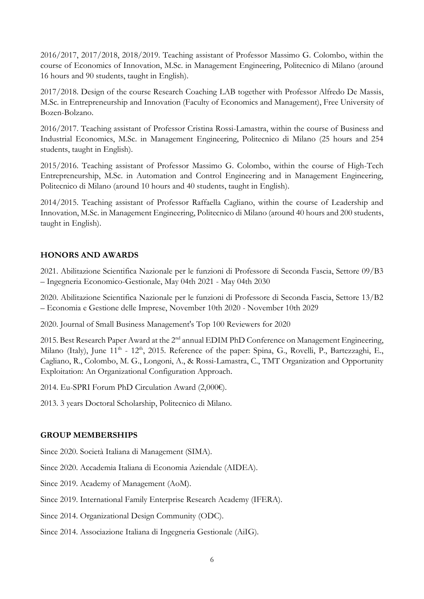2016/2017, 2017/2018, 2018/2019. Teaching assistant of Professor Massimo G. Colombo, within the course of Economics of Innovation, M.Sc. in Management Engineering, Politecnico di Milano (around 16 hours and 90 students, taught in English).

2017/2018. Design of the course Research Coaching LAB together with Professor Alfredo De Massis, M.Sc. in Entrepreneurship and Innovation (Faculty of Economics and Management), Free University of Bozen-Bolzano.

2016/2017. Teaching assistant of Professor Cristina Rossi-Lamastra, within the course of Business and Industrial Economics, M.Sc. in Management Engineering, Politecnico di Milano (25 hours and 254 students, taught in English).

2015/2016. Teaching assistant of Professor Massimo G. Colombo, within the course of High-Tech Entrepreneurship, M.Sc. in Automation and Control Engineering and in Management Engineering, Politecnico di Milano (around 10 hours and 40 students, taught in English).

2014/2015. Teaching assistant of Professor Raffaella Cagliano, within the course of Leadership and Innovation, M.Sc. in Management Engineering, Politecnico di Milano (around 40 hours and 200 students, taught in English).

### **HONORS AND AWARDS**

2021. Abilitazione Scientifica Nazionale per le funzioni di Professore di Seconda Fascia, Settore 09/B3 – Ingegneria Economico-Gestionale, May 04th 2021 - May 04th 2030

2020. Abilitazione Scientifica Nazionale per le funzioni di Professore di Seconda Fascia, Settore 13/B2 – Economia e Gestione delle Imprese, November 10th 2020 - November 10th 2029

2020. Journal of Small Business Management's Top 100 Reviewers for 2020

2015. Best Research Paper Award at the 2<sup>nd</sup> annual EDIM PhD Conference on Management Engineering, Milano (Italy), June 11<sup>th</sup> - 12<sup>th</sup>, 2015. Reference of the paper: Spina, G., Rovelli, P., Bartezzaghi, E., Cagliano, R., Colombo, M. G., Longoni, A., & Rossi-Lamastra, C., TMT Organization and Opportunity Exploitation: An Organizational Configuration Approach.

2014. Eu-SPRI Forum PhD Circulation Award (2,000€).

2013. 3 years Doctoral Scholarship, Politecnico di Milano.

### **GROUP MEMBERSHIPS**

Since 2020. Società Italiana di Management (SIMA).

Since 2020. Accademia Italiana di Economia Aziendale (AIDEA).

Since 2019. Academy of Management (AoM).

Since 2019. International Family Enterprise Research Academy (IFERA).

Since 2014. Organizational Design Community (ODC).

Since 2014. Associazione Italiana di Ingegneria Gestionale (AiIG).